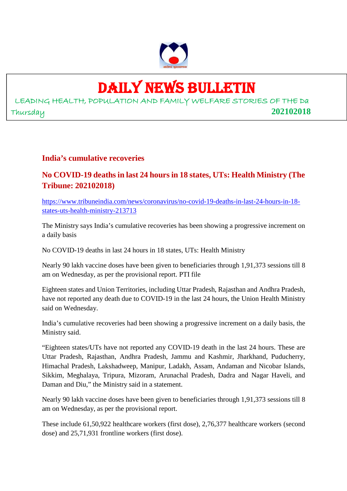

### DAILY NEWS BULLETIN

LEADING HEALTH, POPULATION AND FAMILY WELFARE STORIES OF THE Da Thursday **202102018**

### **India's cumulative recoveries**

### **No COVID-19 deaths in last 24 hours in 18 states, UTs: Health Ministry (The Tribune: 202102018)**

https://www.tribuneindia.com/news/coronavirus/no-covid-19-deaths-in-last-24-hours-in-18 states-uts-health-ministry-213713

The Ministry says India's cumulative recoveries has been showing a progressive increment on a daily basis

No COVID-19 deaths in last 24 hours in 18 states, UTs: Health Ministry

Nearly 90 lakh vaccine doses have been given to beneficiaries through 1,91,373 sessions till 8 am on Wednesday, as per the provisional report. PTI file

Eighteen states and Union Territories, including Uttar Pradesh, Rajasthan and Andhra Pradesh, have not reported any death due to COVID-19 in the last 24 hours, the Union Health Ministry said on Wednesday.

India's cumulative recoveries had been showing a progressive increment on a daily basis, the Ministry said.

"Eighteen states/UTs have not reported any COVID-19 death in the last 24 hours. These are Uttar Pradesh, Rajasthan, Andhra Pradesh, Jammu and Kashmir, Jharkhand, Puducherry, Himachal Pradesh, Lakshadweep, Manipur, Ladakh, Assam, Andaman and Nicobar Islands, Sikkim, Meghalaya, Tripura, Mizoram, Arunachal Pradesh, Dadra and Nagar Haveli, and Daman and Diu," the Ministry said in a statement.

Nearly 90 lakh vaccine doses have been given to beneficiaries through 1,91,373 sessions till 8 am on Wednesday, as per the provisional report.

These include 61,50,922 healthcare workers (first dose), 2,76,377 healthcare workers (second dose) and 25,71,931 frontline workers (first dose).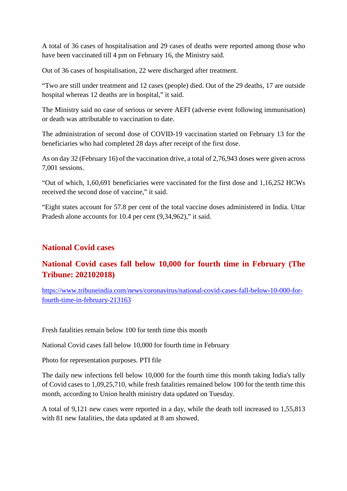A total of 36 cases of hospitalisation and 29 cases of deaths were reported among those who have been vaccinated till 4 pm on February 16, the Ministry said.

Out of 36 cases of hospitalisation, 22 were discharged after treatment.

"Two are still under treatment and 12 cases (people) died. Out of the 29 deaths, 17 are outside hospital whereas 12 deaths are in hospital," it said.

The Ministry said no case of serious or severe AEFI (adverse event following immunisation) or death was attributable to vaccination to date.

The administration of second dose of COVID-19 vaccination started on February 13 for the beneficiaries who had completed 28 days after receipt of the first dose.

As on day 32 (February 16) of the vaccination drive, a total of 2,76,943 doses were given across 7,001 sessions.

"Out of which, 1,60,691 beneficiaries were vaccinated for the first dose and 1,16,252 HCWs received the second dose of vaccine," it said.

"Eight states account for 57.8 per cent of the total vaccine doses administered in India. Uttar Pradesh alone accounts for 10.4 per cent (9,34,962)," it said.

### **National Covid cases**

### **National Covid cases fall below 10,000 for fourth time in February (The Tribune: 202102018)**

https://www.tribuneindia.com/news/coronavirus/national-covid-cases-fall-below-10-000-forfourth-time-in-february-213163

Fresh fatalities remain below 100 for tenth time this month

National Covid cases fall below 10,000 for fourth time in February

Photo for representation purposes. PTI file

The daily new infections fell below 10,000 for the fourth time this month taking India's tally of Covid cases to 1,09,25,710, while fresh fatalities remained below 100 for the tenth time this month, according to Union health ministry data updated on Tuesday.

A total of 9,121 new cases were reported in a day, while the death toll increased to 1,55,813 with 81 new fatalities, the data updated at 8 am showed.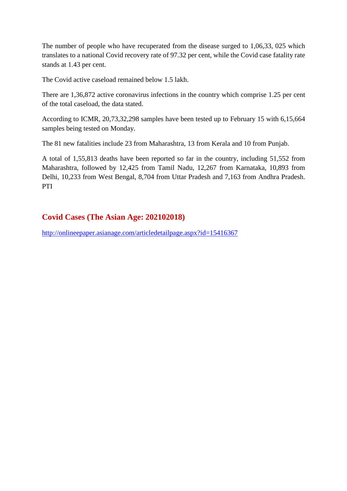The number of people who have recuperated from the disease surged to 1,06,33, 025 which translates to a national Covid recovery rate of 97.32 per cent, while the Covid case fatality rate stands at 1.43 per cent.

The Covid active caseload remained below 1.5 lakh.

There are 1,36,872 active coronavirus infections in the country which comprise 1.25 per cent of the total caseload, the data stated.

According to ICMR, 20,73,32,298 samples have been tested up to February 15 with 6,15,664 samples being tested on Monday.

The 81 new fatalities include 23 from Maharashtra, 13 from Kerala and 10 from Punjab.

A total of 1,55,813 deaths have been reported so far in the country, including 51,552 from Maharashtra, followed by 12,425 from Tamil Nadu, 12,267 from Karnataka, 10,893 from Delhi, 10,233 from West Bengal, 8,704 from Uttar Pradesh and 7,163 from Andhra Pradesh. PTI

### **Covid Cases (The Asian Age: 202102018)**

http://onlineepaper.asianage.com/articledetailpage.aspx?id=15416367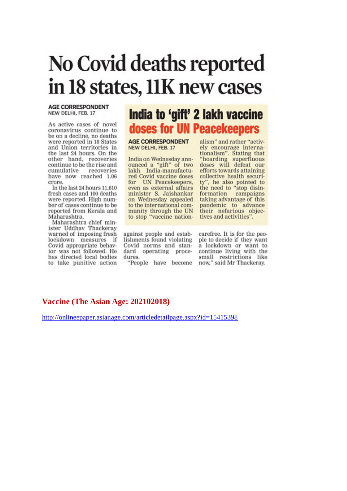## No Covid deaths reported in 18 states, 11K new cases

#### **AGE CORRESPONDENT** NEW DELHI, FEB. 17

As active cases of novel coronavirus continue to be on a decline, no deaths were reported in 18 States and Union territories in the last 24 hours. On the other hand, recoveries continue to be the rise and cumulative recoveries have now reached 1.06 crore.

In the last 24 hours 11,610 fresh cases and 100 deaths were reported. High number of cases continue to be reported from Kerala and Maharashtra.

Maharashtra chief minister Uddhav Thackeray warned of imposing fresh lockdown measures if Covid appropriate behavior was not followed. He has directed local bodies to take punitive action

### India to 'gift' 2 lakh vaccine doses for UN Peacekeepers

**AGE CORRESPONDENT** NEW DELHI, FEB. 17

India on Wednesday announced a "gift" of two lakh India-manufactured Covid vaccine doses for UN Peacekeepers, even as external affairs minister S. Jaishankar on Wednesday appealed<br>to the international community through the UN to stop "vaccine nation-

against people and establishments found violating Covid norms and standard operating procedures.

alism" and rather "actively encourage internationalism". Stating that<br>"hoarding superfluous<br>doses will defeat our efforts towards attaining collective health security", he also pointed to<br>the need to "stop disin-<br>formation campaigns taking advantage of this pandemic to advance their nefarious objectives and activities".

carefree. It is for the people to decide if they want a lockdown or want to continue living with the small restrictions like "People have become now," said Mr Thackeray.

#### Vaccine (The Asian Age: 202102018)

http://onlineepaper.asianage.com/articledetailpage.aspx?id=15415398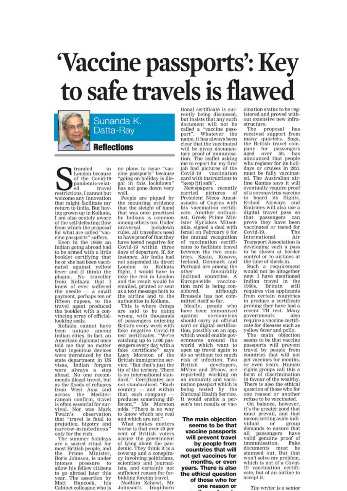## 'Vaccine passports': Key to safe travels is flawed



tranded in London because of the Covid-19 pandemic-relattravel  $\alpha$ restrictions, I cannot but welcome any innovation that might facilitate my return to India. But having grown up in Kolkata, I am also acutely aware of the self-defeating flaw from which the proposal<br>for what are called "vaccine passports" suffers.

Even in the 1960s an Indian going abroad had to be armed with a little booklet certifying that he or she had been vaccinated against yellow fever and (I think) the<br>plague. No traveller from Kolkata that I<br>knew of ever suffered the needle - a small payment, perhaps ten or fifteen rupees, to the<br>travel agent produced the booklet with a convincing array of officiallooking seals.

Kolkata cannot have been unique among Indian cities. In fact, an American diplomat once told me that no matter what ingenious devices were introduced by the state department in US visas, Indian forgers<br>were always a step ahead. No one recommends illegal travel, but as the floods of refugees from West Asia and<br>across the Mediterranean confirm, travel is often essential for survival. Nor was Mark Twain's observation that "travel is fatal to prejudice, bigotry and narrow-mindedness' only for the rich.

The summer holidays are a sacred ritual for most British people, and<br>the Prime Minister, Boris Johnson, is under intense pressure to<br>allow his fellow citizens to go abroad later this year. The assertion by Matt Hancock. his Cabinet colleague who is no plans to issue "vaccine passports" because "going on holiday is illegal in this lockdown" has not gone down very well.

People are piqued by the mounting evidence that the sleight of hand that was once practised by Indians is common among others too. Under universal lockdown rules, all travellers need to have proof of that they have tested negative for Covid-19 within three days of departure. If, for instance, Air India had not suspended its direct London to Kolkata<br>flight, I would have to take the test in London and the result would be emailed, printed or sent as a text message both to the airline and to the authorities in Kolkata.

This is where things<br>are said to be going<br>wrong, with thousands of passengers entering Britain every week with fake negative Covid-19 test certificates. "We're catching up to 1,000 passengers every day with a<br>fake certificate" says fake certificate" says<br>Lucy Moreton of the British immigration service. "But that's just the tip of the iceberg. There is no international standard." Certificates are not standardised. "Each country - and within that, each company produces something different," Ms Moreton<br>adds. "There is no way to know which are real and which are not.

What makes matters worse is that over 40 per cent of British voters accuse the government of lying about the pandemic. They think it is a coverup and a conspiracy involving politicians, scientists and journalists, and certainly not<br>sufficient reason for forbidding foreign travel.

Nadhim Zahawi, Mr Iraqi-born Johnson's

tional certificate is currently being discussed. but insists that any such document will not be called a "vaccine pass-<br>port". Whatever the<br>name, it has always been clear that the vaccinated will be given documentary proof of immunisation. The leaflet asking me to report for my first jab had pictures of the Covid-19 vaccination card with instructions to "keep [it] safe".

Newspapers recently carried pictures of<br>President Nicos Anast-- of asiades of Cyprus with his vaccination certificate. Another enthusiast, Greek Prime Minister Kyriakos Mitsotakis, signed a deal with Israel on February 8 for the mutual recognition of vaccination certificates to facilitate travel between the two countries. Spain, Kosovo, Iceland, Denmark and Portugal are among the favourably other inclined countries. A Europe-wide vaccination card is being considered, although Brussels has not committed itself so far.

Ideally, people who have been immunised against coronavirus should carry an official card or digital certification, possibly on an app. which would enable governments around the world which want to open up travel again to do so without too much risk of infection. Two developers. British MVine and IProov, are reportedly working on an immunity and vaccination passport which is being tested by the National Health Service. It would enable a person's test results or vac-

The main objection seems to be that vaccine passports will prevent travel by people from countries that will not get vaccines for months, or even years. There is also the ethical question of those who for one reason or cination status to be registered and proved without extensive new infrastructure.

The proposal has received support from many quarters. Saga. the British travel company for passengers<br>aged over 50, has 50, announced that people who register for its holidays or cruises in 2021 must be fully vaccinated. The Australian airline Qantas says it will eventually require proof of a coronavirus vaccine to board its flights. Etihad Airways and Emirates will also use a digital travel pass so that passengers can prove they have been vaccinated or tested for Covid-19. The International Air **Transport Association is** developing such a pass to be shown at border control or to airlines at the time of check-in.

Such a requirement would not be altogether new. I have mentioned Indian travel in the Britain still 1960s. requires visa applicants from certain countries to produce a certificate proving they have had a<br>recent TB test. Many governments also require a vaccine certificate for diseases such as yellow fever and polio.

The main objection seems to be that vaccine passports will prevent<br>travel by people from<br>countries that will not get vaccines for months, or even years. Human rights groups call this a form of discrimination in favour of the wealthy. There is also the ethical question of those who for one reason or another refuse to be vaccinated.

On balance, however, it's the greater good that must prevail, and that means setting aside individual or group demands to ensure that passengers have all valid genuine proof of immunisation. Fake documents must be<br>stamped out. But that won't solve my problem, which is not of a Covid-19 vaccination certificate, but of an airline to accept it.

The writer is a senior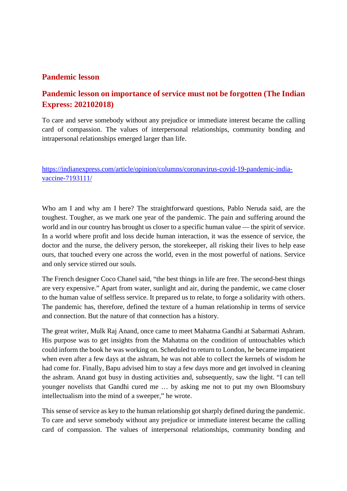### **Pandemic lesson**

### **Pandemic lesson on importance of service must not be forgotten (The Indian Express: 202102018)**

To care and serve somebody without any prejudice or immediate interest became the calling card of compassion. The values of interpersonal relationships, community bonding and intrapersonal relationships emerged larger than life.

https://indianexpress.com/article/opinion/columns/coronavirus-covid-19-pandemic-indiavaccine-7193111/

Who am I and why am I here? The straightforward questions, Pablo Neruda said, are the toughest. Tougher, as we mark one year of the pandemic. The pain and suffering around the world and in our country has brought us closer to a specific human value — the spirit of service. In a world where profit and loss decide human interaction, it was the essence of service, the doctor and the nurse, the delivery person, the storekeeper, all risking their lives to help ease ours, that touched every one across the world, even in the most powerful of nations. Service and only service stirred our souls.

The French designer Coco Chanel said, "the best things in life are free. The second-best things are very expensive." Apart from water, sunlight and air, during the pandemic, we came closer to the human value of selfless service. It prepared us to relate, to forge a solidarity with others. The pandemic has, therefore, defined the texture of a human relationship in terms of service and connection. But the nature of that connection has a history.

The great writer, Mulk Raj Anand, once came to meet Mahatma Gandhi at Sabarmati Ashram. His purpose was to get insights from the Mahatma on the condition of untouchables which could inform the book he was working on. Scheduled to return to London, he became impatient when even after a few days at the ashram, he was not able to collect the kernels of wisdom he had come for. Finally, Bapu advised him to stay a few days more and get involved in cleaning the ashram. Anand got busy in dusting activities and, subsequently, saw the light. "I can tell younger novelists that Gandhi cured me … by asking me not to put my own Bloomsbury intellectualism into the mind of a sweeper," he wrote.

This sense of service as key to the human relationship got sharply defined during the pandemic. To care and serve somebody without any prejudice or immediate interest became the calling card of compassion. The values of interpersonal relationships, community bonding and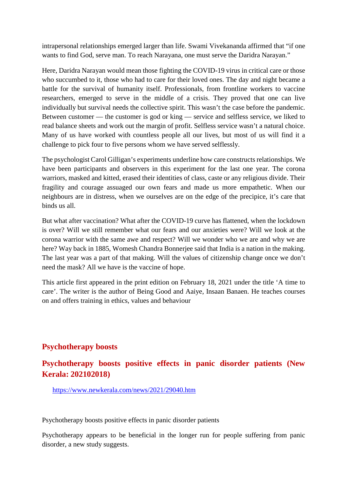intrapersonal relationships emerged larger than life. Swami Vivekananda affirmed that "if one wants to find God, serve man. To reach Narayana, one must serve the Daridra Narayan."

Here, Daridra Narayan would mean those fighting the COVID-19 virus in critical care or those who succumbed to it, those who had to care for their loved ones. The day and night became a battle for the survival of humanity itself. Professionals, from frontline workers to vaccine researchers, emerged to serve in the middle of a crisis. They proved that one can live individually but survival needs the collective spirit. This wasn't the case before the pandemic. Between customer — the customer is god or king — service and selfless service, we liked to read balance sheets and work out the margin of profit. Selfless service wasn't a natural choice. Many of us have worked with countless people all our lives, but most of us will find it a challenge to pick four to five persons whom we have served selflessly.

The psychologist Carol Gilligan's experiments underline how care constructs relationships. We have been participants and observers in this experiment for the last one year. The corona warriors, masked and kitted, erased their identities of class, caste or any religious divide. Their fragility and courage assuaged our own fears and made us more empathetic. When our neighbours are in distress, when we ourselves are on the edge of the precipice, it's care that binds us all.

But what after vaccination? What after the COVID-19 curve has flattened, when the lockdown is over? Will we still remember what our fears and our anxieties were? Will we look at the corona warrior with the same awe and respect? Will we wonder who we are and why we are here? Way back in 1885, Womesh Chandra Bonnerjee said that India is a nation in the making. The last year was a part of that making. Will the values of citizenship change once we don't need the mask? All we have is the vaccine of hope.

This article first appeared in the print edition on February 18, 2021 under the title 'A time to care'. The writer is the author of Being Good and Aaiye, Insaan Banaen. He teaches courses on and offers training in ethics, values and behaviour

### **Psychotherapy boosts**

### **Psychotherapy boosts positive effects in panic disorder patients (New Kerala: 202102018)**

https://www.newkerala.com/news/2021/29040.htm

Psychotherapy boosts positive effects in panic disorder patients

Psychotherapy appears to be beneficial in the longer run for people suffering from panic disorder, a new study suggests.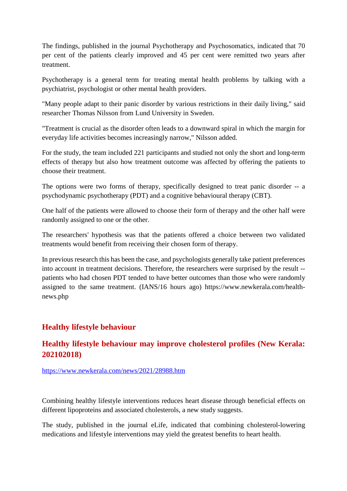The findings, published in the journal Psychotherapy and Psychosomatics, indicated that 70 per cent of the patients clearly improved and 45 per cent were remitted two years after treatment.

Psychotherapy is a general term for treating mental health problems by talking with a psychiatrist, psychologist or other mental health providers.

"Many people adapt to their panic disorder by various restrictions in their daily living," said researcher Thomas Nilsson from Lund University in Sweden.

"Treatment is crucial as the disorder often leads to a downward spiral in which the margin for everyday life activities becomes increasingly narrow," Nilsson added.

For the study, the team included 221 participants and studied not only the short and long-term effects of therapy but also how treatment outcome was affected by offering the patients to choose their treatment.

The options were two forms of therapy, specifically designed to treat panic disorder -- a psychodynamic psychotherapy (PDT) and a cognitive behavioural therapy (CBT).

One half of the patients were allowed to choose their form of therapy and the other half were randomly assigned to one or the other.

The researchers' hypothesis was that the patients offered a choice between two validated treatments would benefit from receiving their chosen form of therapy.

In previous research this has been the case, and psychologists generally take patient preferences into account in treatment decisions. Therefore, the researchers were surprised by the result - patients who had chosen PDT tended to have better outcomes than those who were randomly assigned to the same treatment. (IANS/16 hours ago) https://www.newkerala.com/healthnews.php

### **Healthy lifestyle behaviour**

### **Healthy lifestyle behaviour may improve cholesterol profiles (New Kerala: 202102018)**

https://www.newkerala.com/news/2021/28988.htm

Combining healthy lifestyle interventions reduces heart disease through beneficial effects on different lipoproteins and associated cholesterols, a new study suggests.

The study, published in the journal eLife, indicated that combining cholesterol-lowering medications and lifestyle interventions may yield the greatest benefits to heart health.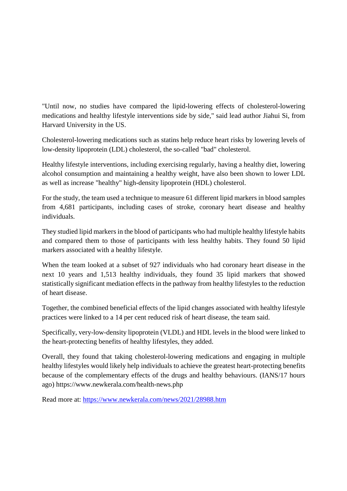"Until now, no studies have compared the lipid-lowering effects of cholesterol-lowering medications and healthy lifestyle interventions side by side," said lead author Jiahui Si, from Harvard University in the US.

Cholesterol-lowering medications such as statins help reduce heart risks by lowering levels of low-density lipoprotein (LDL) cholesterol, the so-called "bad" cholesterol.

Healthy lifestyle interventions, including exercising regularly, having a healthy diet, lowering alcohol consumption and maintaining a healthy weight, have also been shown to lower LDL as well as increase "healthy" high-density lipoprotein (HDL) cholesterol.

For the study, the team used a technique to measure 61 different lipid markers in blood samples from 4,681 participants, including cases of stroke, coronary heart disease and healthy individuals.

They studied lipid markers in the blood of participants who had multiple healthy lifestyle habits and compared them to those of participants with less healthy habits. They found 50 lipid markers associated with a healthy lifestyle.

When the team looked at a subset of 927 individuals who had coronary heart disease in the next 10 years and 1,513 healthy individuals, they found 35 lipid markers that showed statistically significant mediation effects in the pathway from healthy lifestyles to the reduction of heart disease.

Together, the combined beneficial effects of the lipid changes associated with healthy lifestyle practices were linked to a 14 per cent reduced risk of heart disease, the team said.

Specifically, very-low-density lipoprotein (VLDL) and HDL levels in the blood were linked to the heart-protecting benefits of healthy lifestyles, they added.

Overall, they found that taking cholesterol-lowering medications and engaging in multiple healthy lifestyles would likely help individuals to achieve the greatest heart-protecting benefits because of the complementary effects of the drugs and healthy behaviours. (IANS/17 hours ago) https://www.newkerala.com/health-news.php

Read more at: https://www.newkerala.com/news/2021/28988.htm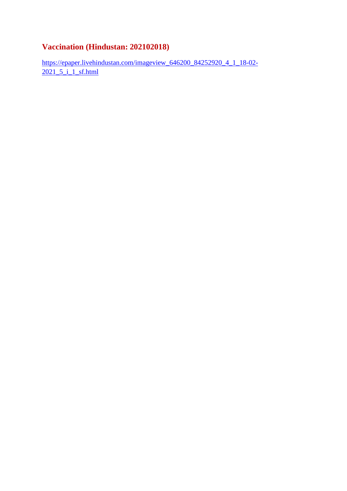### **Vaccination (Hindustan: 202102018)**

https://epaper.livehindustan.com/imageview\_646200\_84252920\_4\_1\_18-02- 2021 5 i 1 sf.html